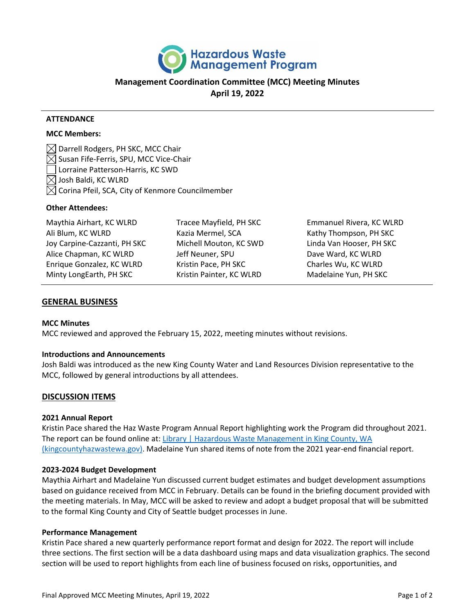

# **Management Coordination Committee (MCC) Meeting Minutes April 19, 2022**

### **ATTENDANCE**

### **MCC Members:**

 $\boxtimes$  Darrell Rodgers, PH SKC, MCC Chair  $\boxtimes$  Susan Fife-Ferris, SPU, MCC Vice-Chair Lorraine Patterson-Harris, KC SWD Josh Baldi, KC WLRD  $\boxtimes$  Corina Pfeil, SCA, City of Kenmore Councilmember

#### **Other Attendees:**

| Maythia Airhart, KC WLRD     | Tracee Mayfield, PH SKC  | Emmanuel Rivera, KC WLRD |
|------------------------------|--------------------------|--------------------------|
| Ali Blum, KC WLRD            | Kazia Mermel, SCA        | Kathy Thompson, PH SKC   |
| Joy Carpine-Cazzanti, PH SKC | Michell Mouton, KC SWD   | Linda Van Hooser, PH SKC |
| Alice Chapman, KC WLRD       | Jeff Neuner, SPU         | Dave Ward, KC WLRD       |
| Enrique Gonzalez, KC WLRD    | Kristin Pace, PH SKC     | Charles Wu, KC WLRD      |
| Minty LongEarth, PH SKC      | Kristin Painter, KC WLRD | Madelaine Yun, PH SKC    |

### **GENERAL BUSINESS**

#### **MCC Minutes**

MCC reviewed and approved the February 15, 2022, meeting minutes without revisions.

#### **Introductions and Announcements**

Josh Baldi was introduced as the new King County Water and Land Resources Division representative to the MCC, followed by general introductions by all attendees.

# **DISCUSSION ITEMS**

#### **2021 Annual Report**

Kristin Pace shared the Haz Waste Program Annual Report highlighting work the Program did throughout 2021. The report can be found online at: Library | Hazardous Waste Management in King County, WA [\(kingcountyhazwastewa.gov\).](https://kingcountyhazwastewa.gov/en/about-us/about-us-library?class=ANNUAL-REPORT,&doc-search=) Madelaine Yun shared items of note from the 2021 year-end financial report.

#### **2023-2024 Budget Development**

Maythia Airhart and Madelaine Yun discussed current budget estimates and budget development assumptions based on guidance received from MCC in February. Details can be found in the briefing document provided with the meeting materials. In May, MCC will be asked to review and adopt a budget proposal that will be submitted to the formal King County and City of Seattle budget processes in June.

#### **Performance Management**

Kristin Pace shared a new quarterly performance report format and design for 2022. The report will include three sections. The first section will be a data dashboard using maps and data visualization graphics. The second section will be used to report highlights from each line of business focused on risks, opportunities, and